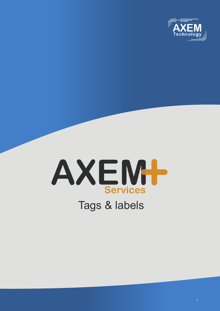



# Tags & labels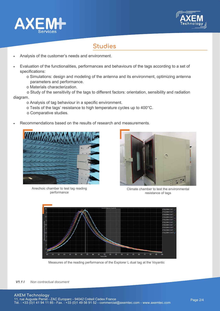



## **Studies**

- Analysis of the customer's needs and environment.
- Evaluation of the functionalities, performances and behaviours of the tags according to a set of specifications:
	- o Simulations: design and modeling of the antenna and its environment, optimizing antenna parameters and performance.
	- o Materials characterization.

 o Study of the sensitivity of the tags to different factors: orientation, sensibility and radiation diagram.

- o Analysis of tag behaviour in a specific environment.
	- o Tests of the tags' resistance to high temperature cycles up to 400°C.
	- o Comparative studies.
- Recommendations based on the results of research and measurements.



Anechoic chamber to test tag reading performance



Climate chamber to test the environmental resistance of tags



Measures of the reading performance of the Explorer L dual tag at the Voyantic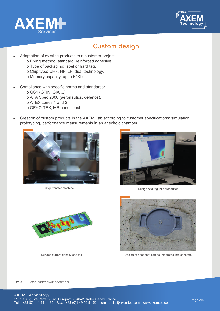



#### **Custom design**

- Adaptation of existing products to a customer project: o Fixing method: standard, reinforced adhesive. o Type of packaging: label or hard tag. o Chip type: UHF, HF, LF, dual technology.
	- o Memory capacity: up to 64Kbits.
- Compliance with specific norms and standards:
	- o GS1 (GTIN, GIAI...).
	- o ATA Spec 2000 (aeronautics, defence).
	- o ATEX zones 1 and 2.
	- o OEKO-TEX, MR conditional.
- Creation of custom products in the AXEM Lab according to customer specifications: simulation, prototyping, performance measurements in an anechoic chamber.



Chip transfer machine



Design of a tag for aeronautics





Surface current density of a tag **Design of a tag that can be integrated into concrete**